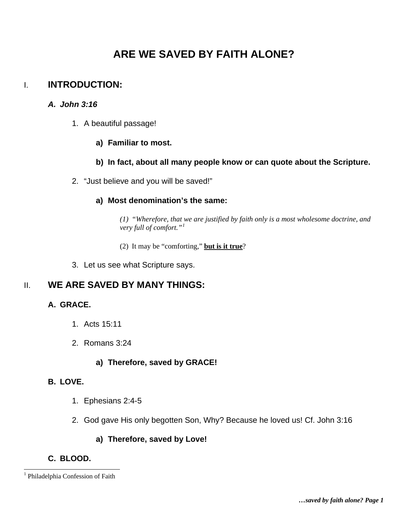# **ARE WE SAVED BY FAITH ALONE?**

## I. **INTRODUCTION:**

## *A. John 3:16*

1. A beautiful passage!

## **a) Familiar to most.**

## **b) In fact, about all many people know or can quote about the Scripture.**

2. "Just believe and you will be saved!"

## **a) Most denomination's the same:**

*(1) "Wherefore, that we are justified by faith only is a most wholesome doctrine, and very full of comfort."[1](#page-0-0)*

(2) It may be "comforting," **but is it true**?

3. Let us see what Scripture says.

## II. **WE ARE SAVED BY MANY THINGS:**

## **A. GRACE.**

- 1. Acts 15:11
- 2. Romans 3:24

## **a) Therefore, saved by GRACE!**

## **B. LOVE.**

- 1. Ephesians 2:4-5
- 2. God gave His only begotten Son, Why? Because he loved us! Cf. John 3:16

## **a) Therefore, saved by Love!**

## **C. BLOOD.**

<span id="page-0-0"></span> $\overline{a}$ <sup>1</sup> Philadelphia Confession of Faith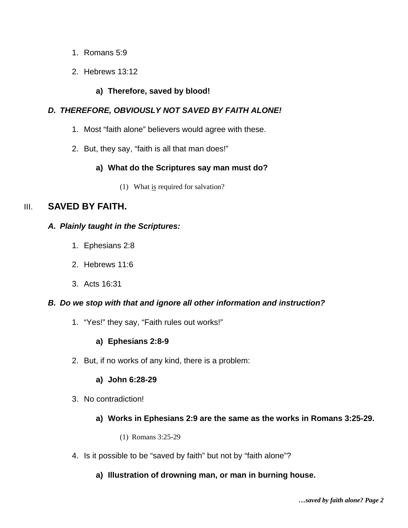- 1. Romans 5:9
- 2. Hebrews 13:12

### **a) Therefore, saved by blood!**

## *D. THEREFORE, OBVIOUSLY NOT SAVED BY FAITH ALONE!*

- 1. Most "faith alone" believers would agree with these.
- 2. But, they say, "faith is all that man does!"

#### **a) What do the Scriptures say man must do?**

(1) What is required for salvation?

## III. **SAVED BY FAITH.**

#### *A. Plainly taught in the Scriptures:*

- 1. Ephesians 2:8
- 2. Hebrews 11:6
- 3. Acts 16:31

#### *B. Do we stop with that and ignore all other information and instruction?*

1. "Yes!" they say, "Faith rules out works!"

## **a) Ephesians 2:8-9**

2. But, if no works of any kind, there is a problem:

#### **a) John 6:28-29**

3. No contradiction!

## **a) Works in Ephesians 2:9 are the same as the works in Romans 3:25-29.**

(1) Romans 3:25-29

4. Is it possible to be "saved by faith" but not by "faith alone"?

#### **a) Illustration of drowning man, or man in burning house.**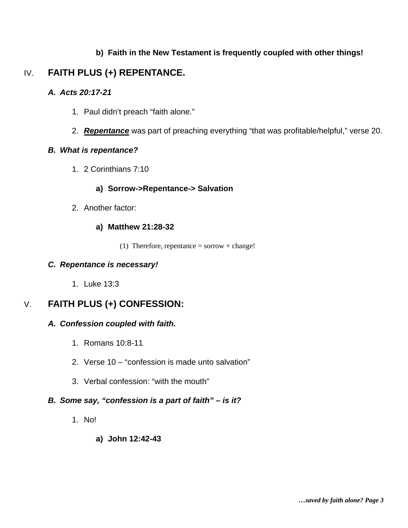## **b) Faith in the New Testament is frequently coupled with other things!**

## IV. **FAITH PLUS (+) REPENTANCE.**

#### *A. Acts 20:17-21*

1. Paul didn't preach "faith alone."

#### 2. *Repentance* was part of preaching everything "that was profitable/helpful," verse 20.

#### *B. What is repentance?*

1. 2 Corinthians 7:10

## **a) Sorrow->Repentance-> Salvation**

2. Another factor:

#### **a) Matthew 21:28-32**

(1) Therefore, repentance  $=$  sorrow  $+$  change!

### *C. Repentance is necessary!*

1. Luke 13:3

## V. **FAITH PLUS (+) CONFESSION:**

### *A. Confession coupled with faith.*

- 1. Romans 10:8-11
- 2. Verse 10 "confession is made unto salvation"
- 3. Verbal confession: "with the mouth"

## *B. Some say, "confession is a part of faith" – is it?*

- 1. No!
	- **a) John 12:42-43**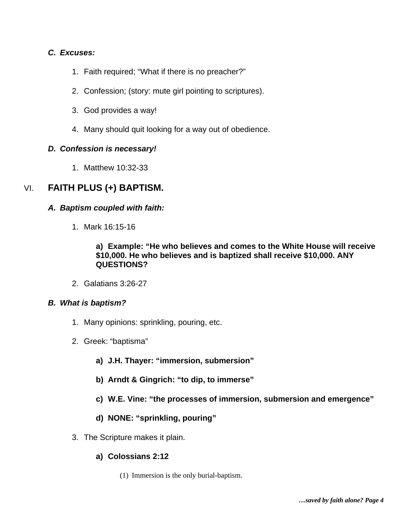### *C. Excuses:*

- 1. Faith required; "What if there is no preacher?"
- 2. Confession; (story: mute girl pointing to scriptures).
- 3. God provides a way!
- 4. Many should quit looking for a way out of obedience.

#### *D. Confession is necessary!*

1. Matthew 10:32-33

## VI. **FAITH PLUS (+) BAPTISM.**

#### *A. Baptism coupled with faith:*

1. Mark 16:15-16

**a) Example: "He who believes and comes to the White House will receive \$10,000. He who believes and is baptized shall receive \$10,000. ANY QUESTIONS?** 

2. Galatians 3:26-27

#### *B. What is baptism?*

- 1. Many opinions: sprinkling, pouring, etc.
- 2. Greek: "baptisma"
	- **a) J.H. Thayer: "immersion, submersion"**
	- **b) Arndt & Gingrich: "to dip, to immerse"**
	- **c) W.E. Vine: "the processes of immersion, submersion and emergence"**
	- **d) NONE: "sprinkling, pouring"**
- 3. The Scripture makes it plain.
	- **a) Colossians 2:12** 
		- (1) Immersion is the only burial-baptism.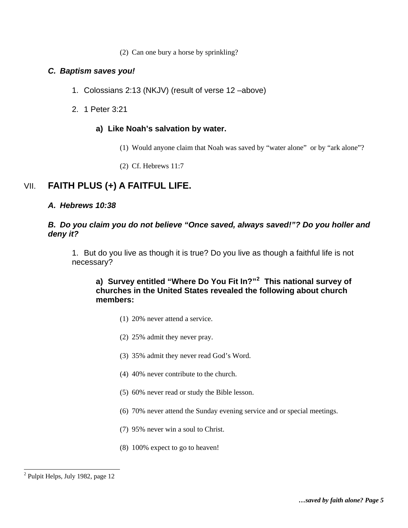(2) Can one bury a horse by sprinkling?

#### *C. Baptism saves you!*

- 1. Colossians 2:13 (NKJV) (result of verse 12 –above)
- 2. 1 Peter 3:21

#### **a) Like Noah's salvation by water.**

- (1) Would anyone claim that Noah was saved by "water alone" or by "ark alone"?
- (2) Cf. Hebrews 11:7

## VII. **FAITH PLUS (+) A FAITFUL LIFE.**

#### *A. Hebrews 10:38*

#### *B. Do you claim you do not believe "Once saved, always saved!"? Do you holler and deny it?*

1. But do you live as though it is true? Do you live as though a faithful life is not necessary?

#### **a) Survey entitled "Where Do You Fit In?"[2](#page-4-0) This national survey of churches in the United States revealed the following about church members:**

- (1) 20% never attend a service.
- (2) 25% admit they never pray.
- (3) 35% admit they never read God's Word.
- (4) 40% never contribute to the church.
- (5) 60% never read or study the Bible lesson.
- (6) 70% never attend the Sunday evening service and or special meetings.
- (7) 95% never win a soul to Christ.
- (8) 100% expect to go to heaven!

 $\overline{a}$ 

<span id="page-4-0"></span><sup>&</sup>lt;sup>2</sup> Pulpit Helps, July 1982, page 12